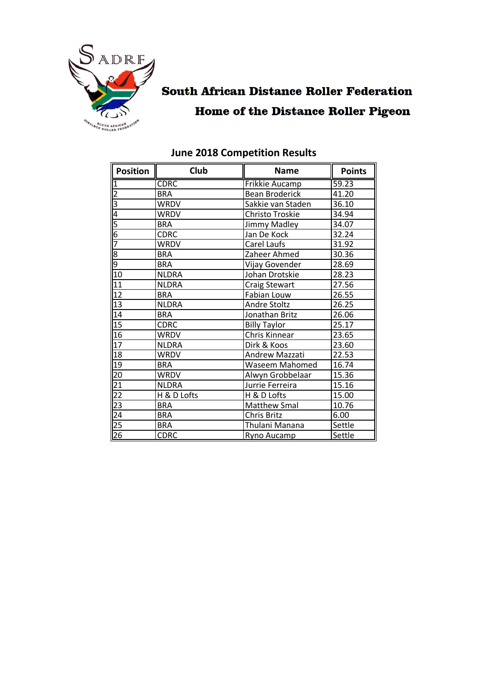

# **South African Distance Roller Federation Home of the Distance Roller Pigeon**

| <b>Position</b> | Club         | <b>Name</b>              | <b>Points</b> |
|-----------------|--------------|--------------------------|---------------|
| 1               | <b>CDRC</b>  | Frikkie Aucamp           | 59.23         |
| $\overline{2}$  | <b>BRA</b>   | <b>Bean Broderick</b>    | 41.20         |
| 3               | <b>WRDV</b>  | Sakkie van Staden        | 36.10         |
| 4               | <b>WRDV</b>  | Christo Troskie          | 34.94         |
| $rac{5}{6}$     | <b>BRA</b>   | Jimmy Madley             | 34.07         |
|                 | <b>CDRC</b>  | Jan De Kock              | 32.24         |
| 7               | <b>WRDV</b>  | Carel Laufs              | 31.92         |
| 8               | <b>BRA</b>   | Zaheer Ahmed             | 30.36         |
| 9               | <b>BRA</b>   | Vijay Govender           | 28.69         |
| 10              | <b>NLDRA</b> | Johan Drotskie           | 28.23         |
| 11              | <b>NLDRA</b> | <b>Craig Stewart</b>     | 27.56         |
| 12              | <b>BRA</b>   | Fabian Louw              | 26.55         |
| 13              | <b>NLDRA</b> | Andre Stoltz             | 26.25         |
| 14              | <b>BRA</b>   | Jonathan Britz           | 26.06         |
| 15              | <b>CDRC</b>  | <b>Billy Taylor</b>      | 25.17         |
| 16              | <b>WRDV</b>  | Chris Kinnear            | 23.65         |
| 17              | <b>NLDRA</b> | Dirk & Koos              | 23.60         |
| 18              | <b>WRDV</b>  | Andrew Mazzati           | 22.53         |
| 19              | <b>BRA</b>   | <b>Waseem Mahomed</b>    | 16.74         |
| 20              | <b>WRDV</b>  | Alwyn Grobbelaar         | 15.36         |
| 21              | <b>NLDRA</b> | 15.16<br>Jurrie Ferreira |               |
| 22              | H & D Lofts  | H & D Lofts              | 15.00         |
| 23              | <b>BRA</b>   | Matthew Smal<br>10.76    |               |
| 24              | <b>BRA</b>   | Chris Britz<br>6.00      |               |
| $\overline{25}$ | <b>BRA</b>   | Thulani Manana           | Settle        |
| 26              | <b>CDRC</b>  | Ryno Aucamp              | Settle        |

## **June 2018 Competition Results**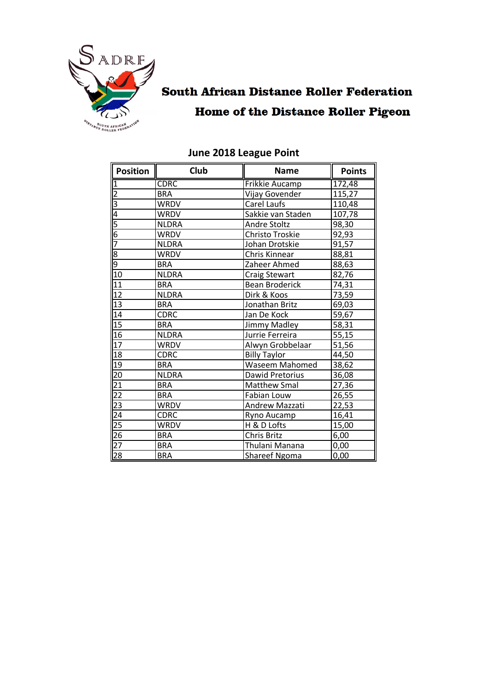

## **South African Distance Roller Federation Home of the Distance Roller Pigeon**

| <b>Position</b>                                                                     | <b>Club</b>  | <b>Name</b>           | <b>Points</b> |
|-------------------------------------------------------------------------------------|--------------|-----------------------|---------------|
| $\overline{1}$                                                                      | <b>CDRC</b>  | Frikkie Aucamp        | 172,48        |
|                                                                                     | <b>BRA</b>   | Vijay Govender        | 115,27        |
|                                                                                     | <b>WRDV</b>  | Carel Laufs           | 110,48        |
|                                                                                     | <b>WRDV</b>  | Sakkie van Staden     | 107,78        |
|                                                                                     | <b>NLDRA</b> | Andre Stoltz          | 98,30         |
|                                                                                     | WRDV         | Christo Troskie       | 92,93         |
|                                                                                     | <b>NLDRA</b> | Johan Drotskie        | 91,57         |
| $\frac{2}{3}$ $\frac{3}{4}$ $\frac{5}{5}$ $\frac{6}{7}$ $\frac{7}{8}$ $\frac{9}{9}$ | <b>WRDV</b>  | Chris Kinnear         | 88,81         |
|                                                                                     | <b>BRA</b>   | Zaheer Ahmed          | 88,63         |
| 10                                                                                  | <b>NLDRA</b> | <b>Craig Stewart</b>  | 82,76         |
| 11                                                                                  | <b>BRA</b>   | <b>Bean Broderick</b> | 74,31         |
| 12                                                                                  | <b>NLDRA</b> | Dirk & Koos           | 73,59         |
| 13                                                                                  | <b>BRA</b>   | Jonathan Britz        | 69,03         |
| 14                                                                                  | <b>CDRC</b>  | Jan De Kock           | 59,67         |
| 15                                                                                  | <b>BRA</b>   | Jimmy Madley          | 58,31         |
| 16                                                                                  | <b>NLDRA</b> | Jurrie Ferreira       | 55,15         |
| 17                                                                                  | <b>WRDV</b>  | Alwyn Grobbelaar      | 51,56         |
| 18                                                                                  | <b>CDRC</b>  | <b>Billy Taylor</b>   | 44,50         |
| $\overline{19}$                                                                     | <b>BRA</b>   | Waseem Mahomed        | 38,62         |
| 20                                                                                  | <b>NLDRA</b> | Dawid Pretorius       | 36,08         |
| $\frac{21}{22}$                                                                     | <b>BRA</b>   | <b>Matthew Smal</b>   | 27,36         |
|                                                                                     | <b>BRA</b>   | Fabian Louw           | 26,55         |
|                                                                                     | <b>WRDV</b>  | Andrew Mazzati        | 22,53         |
|                                                                                     | <b>CDRC</b>  | Ryno Aucamp           | 16,41         |
| $\frac{23}{24}$<br>$\frac{25}{26}$                                                  | <b>WRDV</b>  | H & D Lofts<br>15,00  |               |
|                                                                                     | <b>BRA</b>   | Chris Britz<br>6,00   |               |
| $\overline{27}$                                                                     | <b>BRA</b>   | Thulani Manana        | 0,00          |
| $\overline{28}$                                                                     | <b>BRA</b>   | Shareef Ngoma<br>0,00 |               |

#### **June 2018 League Point**